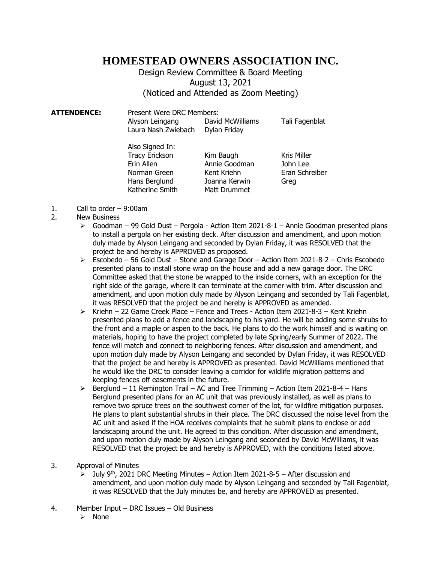## **HOMESTEAD OWNERS ASSOCIATION INC.**

Design Review Committee & Board Meeting August 13, 2021 (Noticed and Attended as Zoom Meeting)

**ATTENDENCE:** Present Were DRC Members: Alyson Leingang David McWilliams Tali Fagenblat Laura Nash Zwiebach Dylan Friday

| Also Signed In:       |               |                    |
|-----------------------|---------------|--------------------|
| <b>Tracy Erickson</b> | Kim Baugh     | <b>Kris Miller</b> |
| Erin Allen            | Annie Goodman | John Lee           |
| Norman Green          | Kent Kriehn   | Eran Schreiber     |
| Hans Berglund         | Joanna Kerwin | Greg               |
| Katherine Smith       | Matt Drummet  |                    |

- 1. Call to order 9:00am
- 2. New Business
	- ➢ Goodman 99 Gold Dust Pergola Action Item 2021-8-1 Annie Goodman presented plans to install a pergola on her existing deck. After discussion and amendment, and upon motion duly made by Alyson Leingang and seconded by Dylan Friday, it was RESOLVED that the project be and hereby is APPROVED as proposed.
	- ➢ Escobedo 56 Gold Dust Stone and Garage Door Action Item 2021-8-2 Chris Escobedo presented plans to install stone wrap on the house and add a new garage door. The DRC Committee asked that the stone be wrapped to the inside corners, with an exception for the right side of the garage, where it can terminate at the corner with trim. After discussion and amendment, and upon motion duly made by Alyson Leingang and seconded by Tali Fagenblat, it was RESOLVED that the project be and hereby is APPROVED as amended.
	- $\triangleright$  Kriehn 22 Game Creek Place Fence and Trees Action Item 2021-8-3 Kent Kriehn presented plans to add a fence and landscaping to his yard. He will be adding some shrubs to the front and a maple or aspen to the back. He plans to do the work himself and is waiting on materials, hoping to have the project completed by late Spring/early Summer of 2022. The fence will match and connect to neighboring fences. After discussion and amendment, and upon motion duly made by Alyson Leingang and seconded by Dylan Friday, it was RESOLVED that the project be and hereby is APPROVED as presented. David McWilliams mentioned that he would like the DRC to consider leaving a corridor for wildlife migration patterns and keeping fences off easements in the future.
	- $\triangleright$  Berglund 11 Remington Trail AC and Tree Trimming Action Item 2021-8-4 Hans Berglund presented plans for an AC unit that was previously installed, as well as plans to remove two spruce trees on the southwest corner of the lot, for wildfire mitigation purposes. He plans to plant substantial shrubs in their place. The DRC discussed the noise level from the AC unit and asked if the HOA receives complaints that he submit plans to enclose or add landscaping around the unit. He agreed to this condition. After discussion and amendment, and upon motion duly made by Alyson Leingang and seconded by David McWilliams, it was RESOLVED that the project be and hereby is APPROVED, with the conditions listed above.
- 3. Approval of Minutes
	- $\geq$  July 9<sup>th</sup>, 2021 DRC Meeting Minutes Action Item 2021-8-5 After discussion and amendment, and upon motion duly made by Alyson Leingang and seconded by Tali Fagenblat, it was RESOLVED that the July minutes be, and hereby are APPROVED as presented.
- 4. Member Input DRC Issues Old Business
	- ➢ None